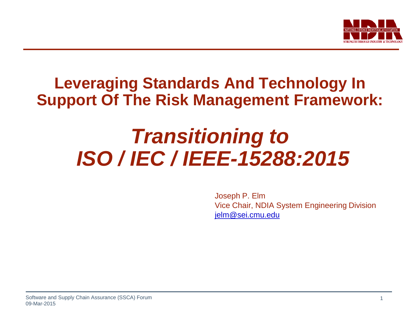

# **Leveraging Standards And Technology In Support Of The Risk Management Framework:**

# *Transitioning to ISO / IEC / IEEE-15288:2015*

Joseph P. Elm Vice Chair, NDIA System Engineering Division jelm@sei.cmu.edu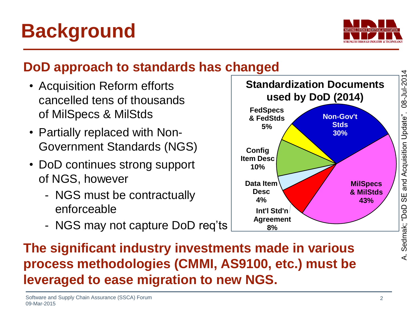

- Acquisition Reform efforts cancelled tens of thousands of MilSpecs & MilStds
- Partially replaced with Non-Government Standards (NGS)
- DoD continues strong support of NGS, however
	- NGS must be contractually enforceable
	- NGS may not capture DoD req'ts





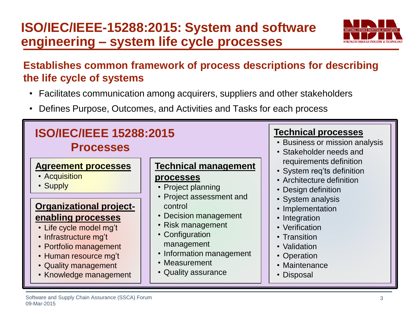### **ISO/IEC/IEEE-15288:2015: System and software engineering – system life cycle processes**



#### **Establishes common framework of process descriptions for describing the life cycle of systems**

- Facilitates communication among acquirers, suppliers and other stakeholders
- Defines Purpose, Outcomes, and Activities and Tasks for each process

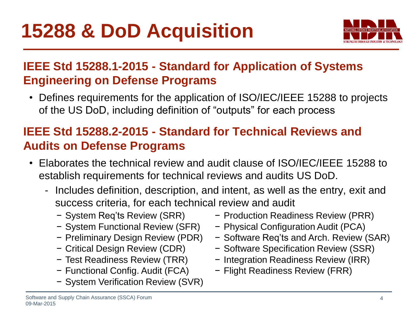

#### **IEEE Std 15288.1-2015 - Standard for Application of Systems Engineering on Defense Programs**

• Defines requirements for the application of ISO/IEC/IEEE 15288 to projects of the US DoD, including definition of "outputs" for each process

#### **IEEE Std 15288.2-2015 - Standard for Technical Reviews and Audits on Defense Programs**

- Elaborates the technical review and audit clause of ISO/IEC/IEEE 15288 to establish requirements for technical reviews and audits US DoD.
	- Includes definition, description, and intent, as well as the entry, exit and success criteria, for each technical review and audit
		- − System Req'ts Review (SRR)
		- − System Functional Review (SFR)
		- − Preliminary Design Review (PDR)
		- − Critical Design Review (CDR)
		- − Test Readiness Review (TRR)
		- − Functional Config. Audit (FCA)
		- − System Verification Review (SVR)
- − Production Readiness Review (PRR)
- − Physical Configuration Audit (PCA)
- − Software Req'ts and Arch. Review (SAR)
- − Software Specification Review (SSR)
- − Integration Readiness Review (IRR)
- − Flight Readiness Review (FRR)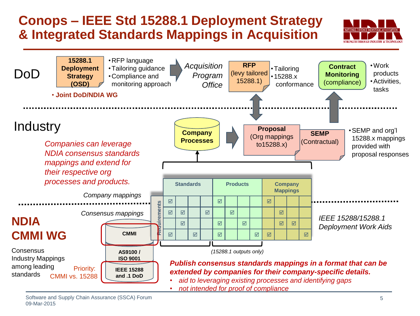#### **Conops – IEEE Std 15288.1 Deployment Strategy & Integrated Standards Mappings in Acquisition**



Software and Supply Chain Assurance (SSCA) Forum 09-Mar-2015

**THRAFTEN INDERTRY & TROUNGE OF**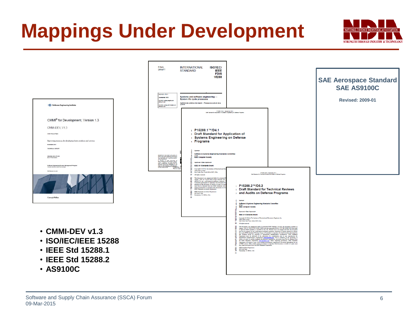# **Mappings Under Development**

|                                                                                                                                                                                                                                                                                                                                                                  | <b>FINAL</b><br>DRAFT                                                                                   | <b>INTERNATIONAL</b><br><b>ISO/IEC/</b><br><b>STANDARD</b><br><b>IEEE</b><br><b>FDIS</b><br>15288                                                                                                                                                                                                                                                                                                                                                                                                                                                                                                                                                                                                                                                                                                                                                                                                                                                                                                                                                  |                                                                                                                                                                                                                                                                                                                                      |                                                                                                                                                                                                                                                                                                                                                                                                                                                                                                                                                                                                                                                                                                                                                                                                                                                                                                                                          | <b>SAE Aerospace Standard</b><br><b>SAE AS9100C</b> |
|------------------------------------------------------------------------------------------------------------------------------------------------------------------------------------------------------------------------------------------------------------------------------------------------------------------------------------------------------------------|---------------------------------------------------------------------------------------------------------|----------------------------------------------------------------------------------------------------------------------------------------------------------------------------------------------------------------------------------------------------------------------------------------------------------------------------------------------------------------------------------------------------------------------------------------------------------------------------------------------------------------------------------------------------------------------------------------------------------------------------------------------------------------------------------------------------------------------------------------------------------------------------------------------------------------------------------------------------------------------------------------------------------------------------------------------------------------------------------------------------------------------------------------------------|--------------------------------------------------------------------------------------------------------------------------------------------------------------------------------------------------------------------------------------------------------------------------------------------------------------------------------------|------------------------------------------------------------------------------------------------------------------------------------------------------------------------------------------------------------------------------------------------------------------------------------------------------------------------------------------------------------------------------------------------------------------------------------------------------------------------------------------------------------------------------------------------------------------------------------------------------------------------------------------------------------------------------------------------------------------------------------------------------------------------------------------------------------------------------------------------------------------------------------------------------------------------------------------|-----------------------------------------------------|
| Software Engineering Institute                                                                                                                                                                                                                                                                                                                                   | songo uto 1<br>Secretariat #CC<br>ISO/EC voting begins on:<br>2014-11-27<br>ISO/EC voting terminates on | Systems and software engineering -<br>System life cycle processes<br>ingéniere des systèmes et du logiciel -- Processus du cycle de vie du<br>DISTANT<br>P15268.1D4.1, September 2014<br>Draft Banderd for Application of Systems Engineering on Defense Programs                                                                                                                                                                                                                                                                                                                                                                                                                                                                                                                                                                                                                                                                                                                                                                                  |                                                                                                                                                                                                                                                                                                                                      |                                                                                                                                                                                                                                                                                                                                                                                                                                                                                                                                                                                                                                                                                                                                                                                                                                                                                                                                          | <b>Revised: 2009-01</b>                             |
| CMMI <sup>®</sup> for Development, Version 1.3<br>CMMI-DEV, V1.3<br>CARAL Product Team<br>Improving processes for developing better products and services<br><b>November 2010</b><br>TECHNICAL REPOR<br>CMU1881-2010-774-032<br>800-774-2010-033<br><b>Eclivare Engineering Prosess Management Program</b><br><b>Barbara así anu ad</b><br><b>CarnegieMellon</b> |                                                                                                         | 1 P15288.1™/D4.1<br><sup>2</sup> Draft Standard for Application of<br>3 Systems Engineering on Defense<br>4 Programs<br>Coonse<br>Software & Systems Engineering Standards Committee<br>of the<br>IEEE Computer Society<br>Approved <date approved=""><br/>IEEE-SA Standards Board<br/>Convicts C 2014 by the lasting of Electrical and I<br/>These Park Avenue<br/>New York, New York 10016-5997, USA<br/>к<br/>19 All rights reserved.<br/>This document is an unepproved draft of a proposed change. USB AT YOUR OWN RISK! Because this discusse is reproduced that Connuiste partners of the connuisted partners of the connuisted partners of <math>\sim</math><br/>aloption of this document, in whole or in part, by an<br/>must first be obtained from the IEEE Standards Act<br/>seeking permission to reproduce this document, in with HEE Standards Activities Department.<br/><math>\frac{28}{20}</math><br/>ITEE Standards Activities Department<br/>445 Hoes Lane<br/><math>\frac{1}{30}</math><br/>Piscataway, NJ 08854, USA</date> | 1 P15288.2™/D5.2<br>2 Draft Standard for Technical Reviews<br>and Audits on Defense Programs<br>Software & Systems Engineering Standards Committee                                                                                                                                                                                   | P15398 2/05.2, Supernive 2014<br>Dreft Stendard for Technical Reviews and Audits on Defense Program                                                                                                                                                                                                                                                                                                                                                                                                                                                                                                                                                                                                                                                                                                                                                                                                                                      |                                                     |
| • CMMI-DEV v1.3<br>• ISO/IEC/IEEE 15288<br>• IEEE Std 15288.1<br>• IEEE Std 15288.2                                                                                                                                                                                                                                                                              |                                                                                                         |                                                                                                                                                                                                                                                                                                                                                                                                                                                                                                                                                                                                                                                                                                                                                                                                                                                                                                                                                                                                                                                    | <b>IEEE</b> Computer Society<br>Approved «Date Approved»<br>IEEE-SA Standards Board<br>Copyright O $2014$ by The Institute of Electrical and Electronics Engineers, Inc. Then Park Avenue Now York 10016-5997, USA<br>18 All rights reserved.<br><b>ITEE Standards Department</b><br>꾶<br>445 Hoss Lane<br>Piscataway, NJ 08854, USA | This decument is an anapproved dual of a proposed IEEE Standard. As such, this decument is subject to start VOIR OWN RISIC IEEE specifies transmission of the AL of the start of the start of the start of the start of the s<br>must not be acilized for any conformance/compliance purposes. Permission is hereby general for officers from each BEES Standards (Working Group or Committee to regreduce the dual document developed by that Working Creep f<br>ingenteem state of microscopic consideration (and approximately present to adoption of this document, in whole at the procedure of the constant of the constant of the constant of the constant of the constant of the constan<br>Department will require a copy of the standard development organization's document highlighting the use<br>of TEEE content. Other entities seeking permission to reproduce this document, in whole or in part, must<br>also obtain p |                                                     |

• **AS9100C**

STRENGTH THROUGH INDUSTRY & TECHNOLOGY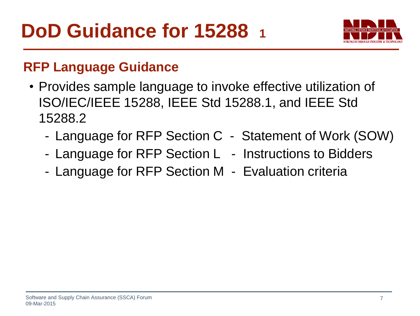

#### **RFP Language Guidance**

- Provides sample language to invoke effective utilization of ISO/IEC/IEEE 15288, IEEE Std 15288.1, and IEEE Std 15288.2
	- Language for RFP Section C Statement of Work (SOW)
	- Language for RFP Section L Instructions to Bidders
	- Language for RFP Section M Evaluation criteria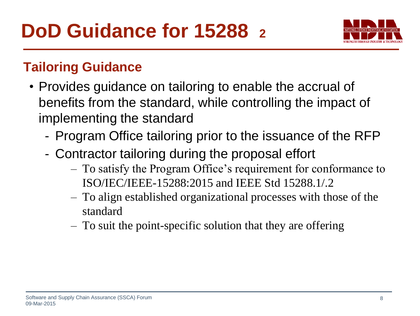

#### **Tailoring Guidance**

- Provides guidance on tailoring to enable the accrual of benefits from the standard, while controlling the impact of implementing the standard
	- Program Office tailoring prior to the issuance of the RFP
	- Contractor tailoring during the proposal effort
		- To satisfy the Program Office's requirement for conformance to ISO/IEC/IEEE-15288:2015 and IEEE Std 15288.1/.2
		- To align established organizational processes with those of the standard
		- To suit the point-specific solution that they are offering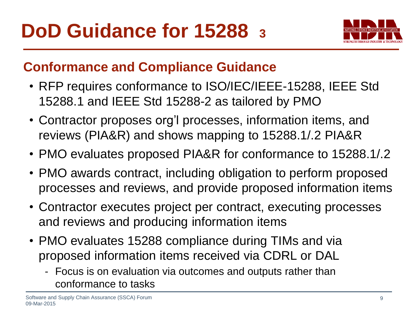

#### **Conformance and Compliance Guidance**

- RFP requires conformance to ISO/IEC/IEEE-15288, IEEE Std 15288.1 and IEEE Std 15288-2 as tailored by PMO
- Contractor proposes org'l processes, information items, and reviews (PIA&R) and shows mapping to 15288.1/.2 PIA&R
- PMO evaluates proposed PIA&R for conformance to 15288.1/.2
- PMO awards contract, including obligation to perform proposed processes and reviews, and provide proposed information items
- Contractor executes project per contract, executing processes and reviews and producing information items
- PMO evaluates 15288 compliance during TIMs and via proposed information items received via CDRL or DAL
	- Focus is on evaluation via outcomes and outputs rather than conformance to tasks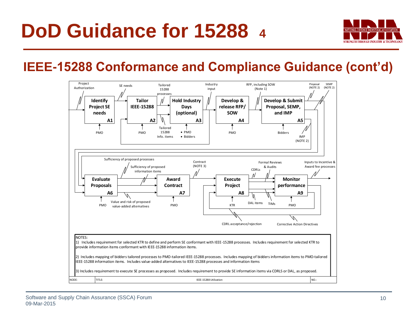

#### **IEEE-15288 Conformance and Compliance Guidance (cont'd)**

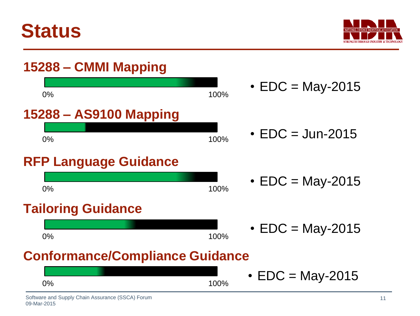



## **15288 – CMMI Mapping**



### •  $EDC = May-2015$

- $EDC =$  Jun-2015
- $\cdot$  EDC = May-2015
- $\cdot$  EDC = May-2015